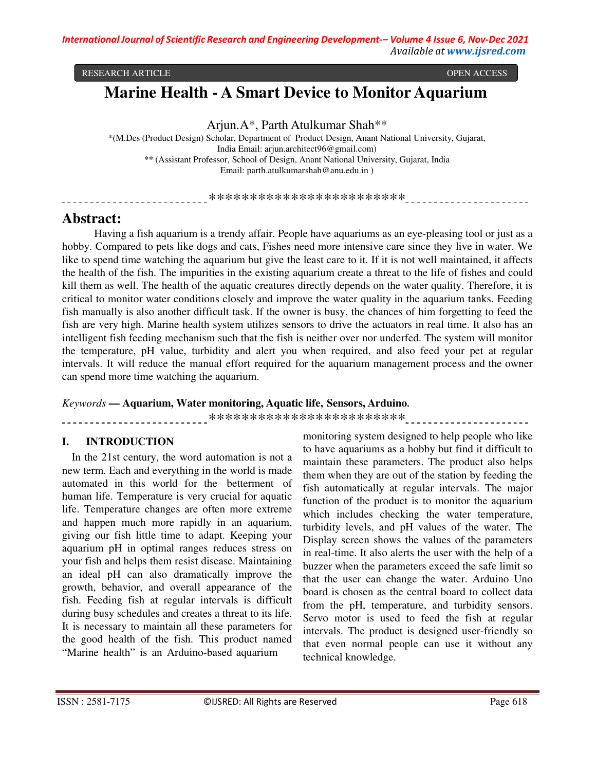#### RESEARCH ARTICLE OPEN ACCESS

# **Marine Health - A Smart Device to Monitor Aquarium**

Arjun.A\*, Parth Atulkumar Shah\*\*

\*(M.Des (Product Design) Scholar, Department of Product Design, Anant National University, Gujarat, India Email: arjun.architect96@gmail.com) \*\* (Assistant Professor, School of Design, Anant National University, Gujarat, India Email: parth.atulkumarshah@anu.edu.in )

\*\*\*\*\*\*\*\*\*\*\*\*\*\*\*\*\*\*\*\*\*\*\*\*

# **Abstract:**

Having a fish aquarium is a trendy affair. People have aquariums as an eye-pleasing tool or just as a hobby. Compared to pets like dogs and cats, Fishes need more intensive care since they live in water. We like to spend time watching the aquarium but give the least care to it. If it is not well maintained, it affects the health of the fish. The impurities in the existing aquarium create a threat to the life of fishes and could kill them as well. The health of the aquatic creatures directly depends on the water quality. Therefore, it is critical to monitor water conditions closely and improve the water quality in the aquarium tanks. Feeding fish manually is also another difficult task. If the owner is busy, the chances of him forgetting to feed the fish are very high. Marine health system utilizes sensors to drive the actuators in real time. It also has an intelligent fish feeding mechanism such that the fish is neither over nor underfed. The system will monitor the temperature, pH value, turbidity and alert you when required, and also feed your pet at regular intervals. It will reduce the manual effort required for the aquarium management process and the owner can spend more time watching the aquarium.

#### *Keywords* **— Aquarium, Water monitoring, Aquatic life, Sensors, Arduino.**

\*\*\*\*\*\*\*\*\*\*\*\*\*\*\*\*\*\*\*\*\*\*\*\*

# **I. INTRODUCTION**

In the 21st century, the word automation is not a new term. Each and everything in the world is made automated in this world for the betterment of human life. Temperature is very crucial for aquatic life. Temperature changes are often more extreme and happen much more rapidly in an aquarium, giving our fish little time to adapt. Keeping your aquarium pH in optimal ranges reduces stress on your fish and helps them resist disease. Maintaining an ideal pH can also dramatically improve the growth, behavior, and overall appearance of the fish. Feeding fish at regular intervals is difficult during busy schedules and creates a threat to its life. It is necessary to maintain all these parameters for the good health of the fish. This product named "Marine health" is an Arduino-based aquarium

monitoring system designed to help people who like to have aquariums as a hobby but find it difficult to maintain these parameters. The product also helps them when they are out of the station by feeding the fish automatically at regular intervals. The major function of the product is to monitor the aquarium which includes checking the water temperature, turbidity levels, and pH values of the water. The Display screen shows the values of the parameters in real-time. It also alerts the user with the help of a buzzer when the parameters exceed the safe limit so that the user can change the water. Arduino Uno board is chosen as the central board to collect data from the pH, temperature, and turbidity sensors. Servo motor is used to feed the fish at regular intervals. The product is designed user-friendly so that even normal people can use it without any technical knowledge.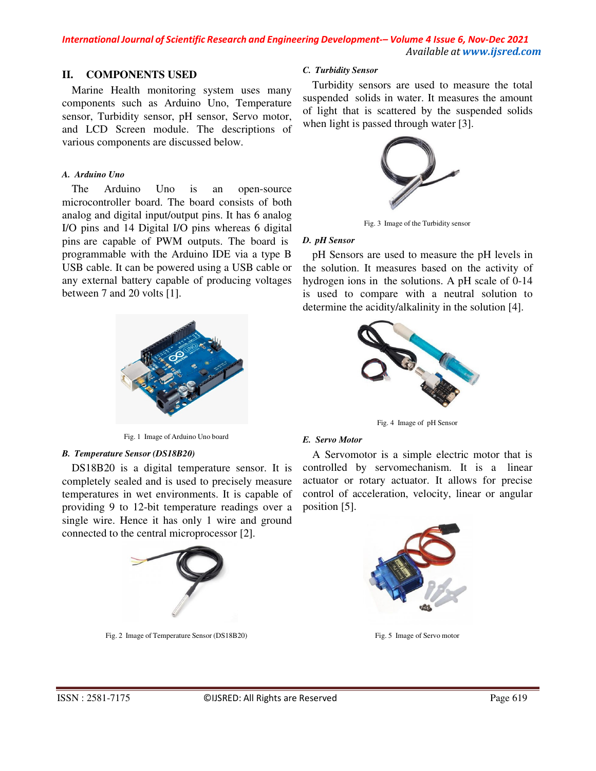### **II. COMPONENTS USED**

Marine Health monitoring system uses many components such as Arduino Uno, Temperature sensor, Turbidity sensor, pH sensor, Servo motor, and LCD Screen module. The descriptions of various components are discussed below.

#### *A. Arduino Uno*

The Arduino Uno is an open-source microcontroller board. The board consists of both analog and digital input/output pins. It has 6 analog I/O pins and 14 Digital I/O pins whereas 6 digital pins are capable of PWM outputs. The board is *D. pH Sensor*  programmable with the Arduino IDE via a type B USB cable. It can be powered using a USB cable or any external battery capable of producing voltages between 7 and 20 volts [1].



Fig. 1 Image of Arduino Uno board *E. Servo Motor* 

#### *B. Temperature Sensor (DS18B20)*

DS18B20 is a digital temperature sensor. It is completely sealed and is used to precisely measure temperatures in wet environments. It is capable of providing 9 to 12-bit temperature readings over a single wire. Hence it has only 1 wire and ground connected to the central microprocessor [2].



Fig. 2 Image of Temperature Sensor (DS18B20)

#### *C. Turbidity Sensor*

Turbidity sensors are used to measure the total suspended solids in water. It measures the amount of light that is scattered by the suspended solids when light is passed through water [3].



Fig. 3 Image of the Turbidity sensor

pH Sensors are used to measure the pH levels in the solution. It measures based on the activity of hydrogen ions in the solutions. A pH scale of 0-14 is used to compare with a neutral solution to determine the acidity/alkalinity in the solution [4].



Fig. 4 Image of pH Sensor

A Servomotor is a simple electric motor that is controlled by servomechanism. It is a linear actuator or rotary actuator. It allows for precise control of acceleration, velocity, linear or angular position [5].



Fig. 5 Image of Servo motor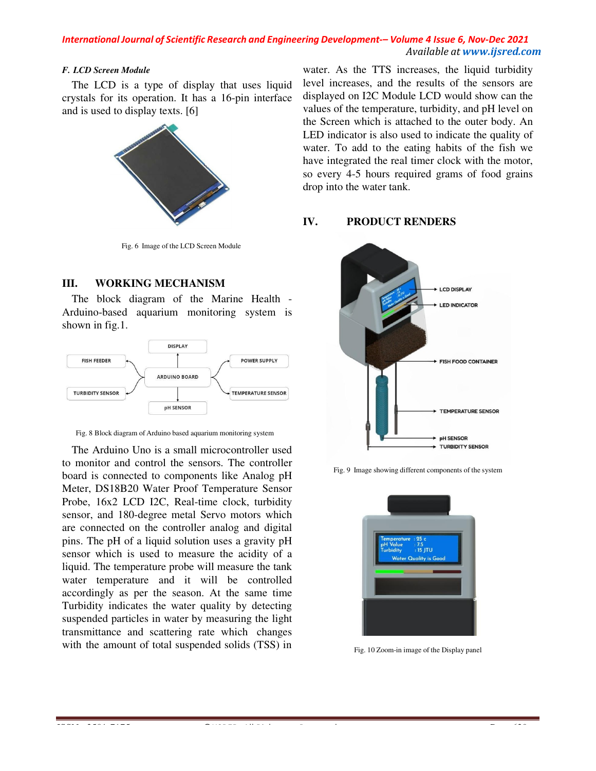#### *F. LCD Screen Module*

The LCD is a type of display that uses liquid crystals for its operation. It has a 16-pin interface and is used to display texts. [6]



Fig. 6 Image of the LCD Screen Module

# **III. WORKING MECHANISM**

The block diagram of the Marine Health - Arduino-based aquarium monitoring system is shown in fig.1.



Fig. 8 Block diagram of Arduino based aquarium monitoring system

The Arduino Uno is a small microcontroller used to monitor and control the sensors. The controller board is connected to components like Analog pH Meter, DS18B20 Water Proof Temperature Sensor Probe, 16x2 LCD I2C, Real-time clock, turbidity sensor, and 180-degree metal Servo motors which are connected on the controller analog and digital pins. The pH of a liquid solution uses a gravity pH sensor which is used to measure the acidity of a liquid. The temperature probe will measure the tank water temperature and it will be controlled accordingly as per the season. At the same time Turbidity indicates the water quality by detecting suspended particles in water by measuring the light transmittance and scattering rate which changes with the amount of total suspended solids (TSS) in

water. As the TTS increases, the liquid turbidity level increases, and the results of the sensors are displayed on I2C Module LCD would show can the values of the temperature, turbidity, and pH level on the Screen which is attached to the outer body. An LED indicator is also used to indicate the quality of water. To add to the eating habits of the fish we have integrated the real timer clock with the motor, so every 4-5 hours required grams of food grains drop into the water tank.

### **IV. PRODUCT RENDERS**



Fig. 9 Image showing different components of the system



Fig. 10 Zoom-in image of the Display panel

ISSN : 2581-7175 ©IJSRED: All Rights are Reserved Page 6200 of the Reserved Page 6200 of the Reserved Page 620<br>ISSN : Reserved Page 6200 of the Reserved Page 6200 of the Reserved Page 6200 of the Reserved Page 6200 of the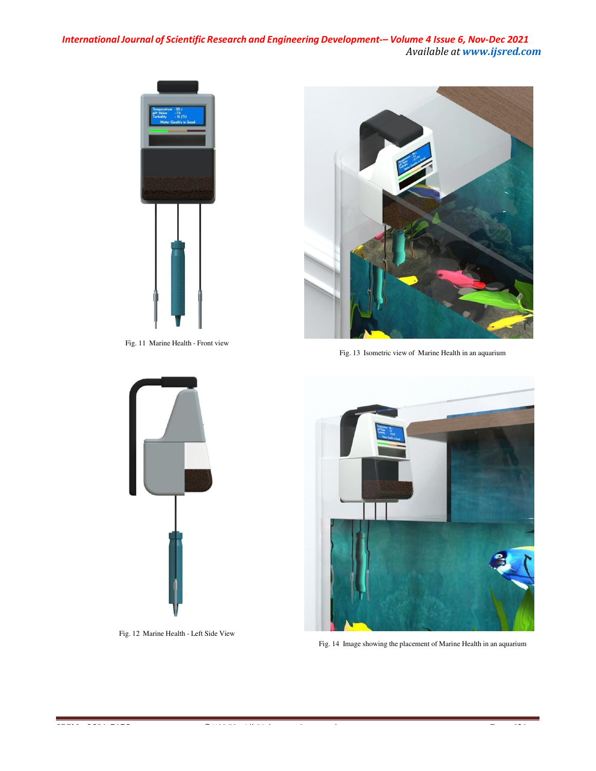

Fig. 11 Marine Health - Front view



Fig. 13 Isometric view of Marine Health in an aquarium



Fig. 12 Marine Health - Left Side View



Fig. 14 Image showing the placement of Marine Health in an aquarium